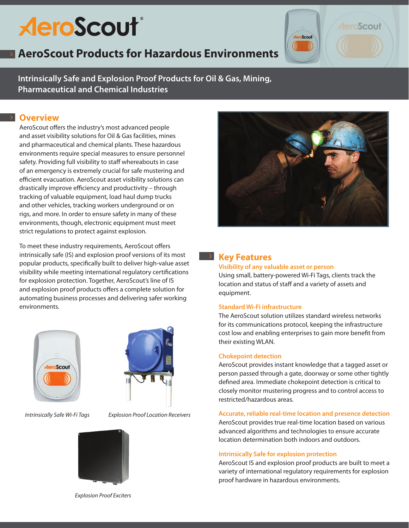# **AeroScout**®

## **AeroScout Products for Hazardous Environments**

**Intrinsically Safe and Explosion Proof Products for Oil & Gas, Mining, Pharmaceutical and Chemical Industries**

## **Overview**

AeroScout offers the industry's most advanced people and asset visibility solutions for Oil & Gas facilities, mines and pharmaceutical and chemical plants. These hazardous environments require special measures to ensure personnel safety. Providing full visibility to staff whereabouts in case of an emergency is extremely crucial for safe mustering and efficient evacuation. AeroScout asset visibility solutions can drastically improve efficiency and productivity – through tracking of valuable equipment, load haul dump trucks and other vehicles, tracking workers underground or on rigs, and more. In order to ensure safety in many of these environments, though, electronic equipment must meet strict regulations to protect against explosion.

To meet these industry requirements, AeroScout offers intrinsically safe (IS) and explosion proof versions of its most popular products, specifically built to deliver high-value asset visibility while meeting international regulatory certifications for explosion protection. Together, AeroScout's line of IS and explosion proof products offers a complete solution for automating business processes and delivering safer working environments.





*Intrinsically Safe Wi-Fi Tags Explosion Proof Location Receivers*



Scout

## **Key Features**

#### **Visibility of any valuable asset or person**

Using small, battery-powered Wi-Fi Tags, clients track the location and status of staff and a variety of assets and equipment.

### **Standard Wi-Fi infrastructure**

The AeroScout solution utilizes standard wireless networks for its communications protocol, keeping the infrastructure cost low and enabling enterprises to gain more benefit from their existing WLAN.

#### **Chokepoint detection**

AeroScout provides instant knowledge that a tagged asset or person passed through a gate, doorway or some other tightly defined area. Immediate chokepoint detection is critical to closely monitor mustering progress and to control access to restricted/hazardous areas.

**Accurate, reliable real-time location and presence detection** AeroScout provides true real-time location based on various advanced algorithms and technologies to ensure accurate location determination both indoors and outdoors.

#### **Intrinsically Safe for explosion protection**

AeroScout IS and explosion proof products are built to meet a variety of international regulatory requirements for explosion proof hardware in hazardous environments.

*Explosion Proof Exciters*